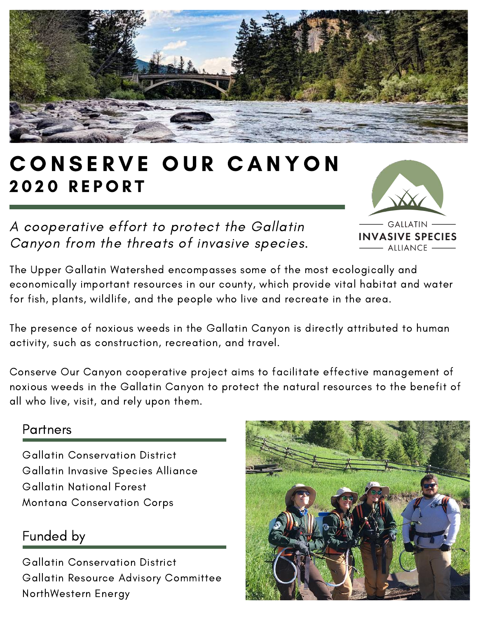

# CONSERVE OUR CANYON **2020 REPORT**

A cooperative effort to protect the Gallatin Canyon from the threats of invasive species.

**GALLATIN INVASIVE SPECIES** ALLIANCE -

The Upper Gallatin Watershed encompasses some of the most ecologically and economically important resources in our county, which provide vital habitat and water for fish, plants, wildlife, and the people who live and recreate in the area.

The presence of noxious weeds in the Gallatin Canyon is directly attributed to human activity, such as construction, recreation, and travel.

Conserve Our Canyon cooperative project aims to facilitate effective management of noxious weeds in the Gallatin Canyon to protect the natural resources to the benefit of all who live, visit, and rely upon them.

#### Partners

Gallatin Conservation District Gallatin Invasive Species Alliance Gallatin National Forest Montana Conservation Corps

### Funded by

Gallatin Conservation District Gallatin Resource Advisory Committee NorthWestern Energy

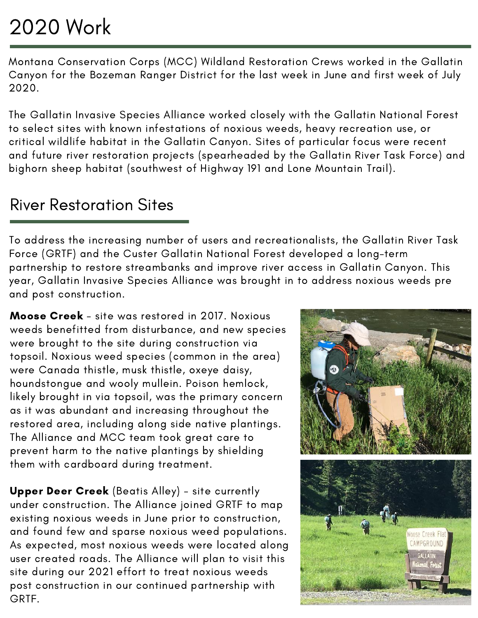# 2020 Work

Montana Conservation Corps (MCC) Wildland Restoration Crews worked in the Gallatin Canyon for the Bozeman Ranger District for the last week in June and first week of July 2020.

The Gallatin Invasive Species Alliance worked closely with the Gallatin National Forest to select sites with known infestations of noxious weeds, heavy recreation use, or critical wildlife habitat in the Gallatin Canyon. Sites of particular focus were recent and future river restoration projects (spearheaded by the Gallatin River Task Force) and bighorn sheep habitat (southwest of Highway 191 and Lone Mountain Trail).

### River Restoration Sites

To address the increasing number of users and recreationalists, the Gallatin River Task Force (GRTF) and the Custer Gallatin National Forest developed a long-term partnership to restore streambanks and improve river access in Gallatin Canyon. This year, Gallatin Invasive Species Alliance was brought in to address noxious weeds pre and post construction.

Moose Creek - site was restored in 2017. Noxious weeds benefitted from disturbance, and new species were brought to the site during construction via topsoil. Noxious weed species (common in the area) were Canada thistle, musk thistle, oxeye daisy, houndstongue and wooly mullein. Poison hemlock, likely brought in via topsoil, was the primary concern as it was abundant and increasing throughout the restored area, including along side native plantings. The Alliance and MCC team took great care to prevent harm to the native plantings by shielding them with cardboard during treatment.

Upper Deer Creek (Beatis Alley) - site currently under construction. The Alliance joined GRTF to map existing noxious weeds in June prior to construction, and found few and sparse noxious weed populations. As expected, most noxious weeds were located along user created roads. The Alliance will plan to visit this site during our 2021 effort to treat noxious weeds post construction in our continued partnership with GRTF.

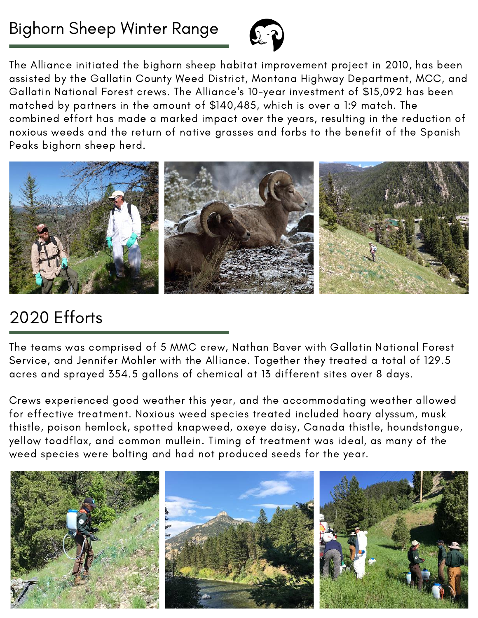

The Alliance initiated the bighorn sheep habitat improvement project in 2010, has been assisted by the Gallatin County Weed District, Montana Highway Department, MCC, and Gallatin National Forest crews. The Alliance's 10-year investment of \$15,092 has been matched by partners in the amount of \$140,485, which is over a 1:9 match. The combined effort has made a marked impact over the years, resulting in the reduction of noxious weeds and the return of native grasses and forbs to the benefit of the Spanish Peaks bighorn sheep herd.



## 2020 Efforts

The teams was comprised of 5 MMC crew, Nathan Baver with Gallatin National Forest Service, and Jennifer Mohler with the Alliance. Together they treated a total of 129.5 acres and sprayed 354.5 gallons of chemical at 13 different sites over 8 days.

Crews experienced good weather this year, and the accommodating weather allowed for effective treatment. Noxious weed species treated included hoary alyssum, musk thistle, poison hemlock, spotted knapweed, oxeye daisy, Canada thistle, houndstongue, yellow toadflax, and common mullein. Timing of treatment was ideal, as many of the weed species were bolting and had not produced seeds for the year.